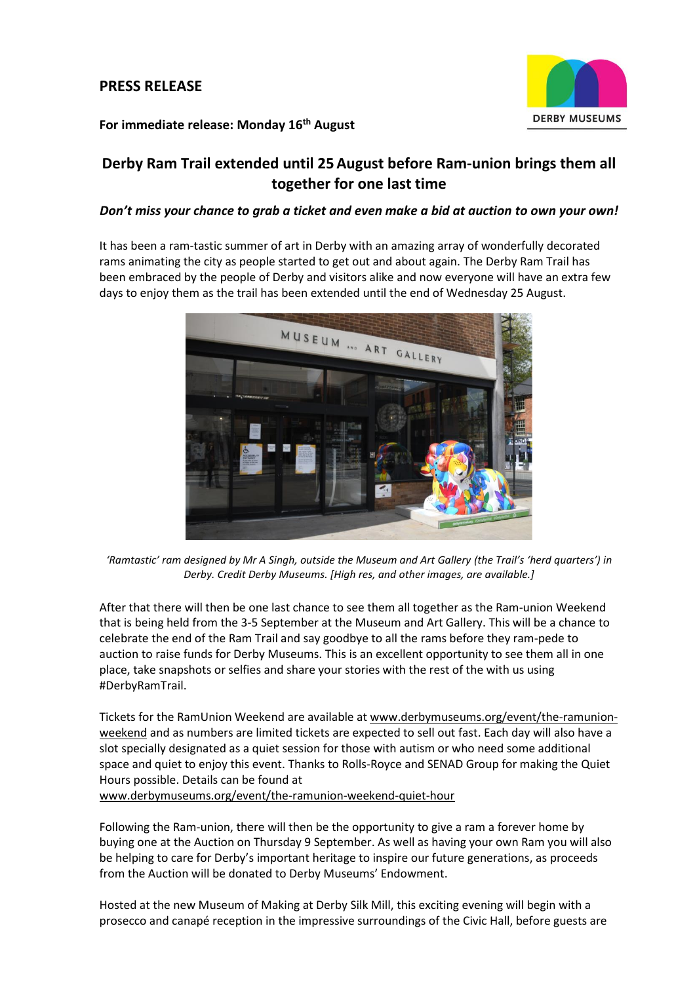# **PRESS RELEASE**



# **For immediate release: Monday 16th August**

# **Derby Ram Trail extended until 25August before Ram-union brings them all together for one last time**

## *Don't miss your chance to grab a ticket and even make a bid at auction to own your own!*

It has been a ram-tastic summer of art in Derby with an amazing array of wonderfully decorated rams animating the city as people started to get out and about again. The Derby Ram Trail has been embraced by the people of Derby and visitors alike and now everyone will have an extra few days to enjoy them as the trail has been extended until the end of Wednesday 25 August.



'Ramtastic' ram designed by Mr A Singh, outside the Museum and Art Gallery (the Trail's 'herd quarters') in *Derby. Credit Derby Museums. [High res, and other images, are available.]*

After that there will then be one last chance to see them all together as the Ram-union Weekend that is being held from the 3-5 September at the Museum and Art Gallery. This will be a chance to celebrate the end of the Ram Trail and say goodbye to all the rams before they ram-pede to auction to raise funds for Derby Museums. This is an excellent opportunity to see them all in one place, take snapshots or selfies and share your stories with the rest of the with us using #DerbyRamTrail.

Tickets for the RamUnion Weekend are available a[t www.derbymuseums.org/event/the-ramunion](http://www.derbymuseums.org/event/the-ramunion-weekend)[weekend](http://www.derbymuseums.org/event/the-ramunion-weekend) and as numbers are limited tickets are expected to sell out fast. Each day will also have a slot specially designated as a quiet session for those with autism or who need some additional space and quiet to enjoy this event. Thanks to Rolls-Royce and SENAD Group for making the Quiet Hours possible. Details can be found at [www.derbymuseums.org/event/the-ramunion-weekend-quiet-hour](http://www.derbymuseums.org/event/the-ramunion-weekend-quiet-hour)

Following the Ram-union, there will then be the opportunity to give a ram a forever home by buying one at the Auction on Thursday 9 September. As well as having your own Ram you will also be helping to care for Derby's important heritage to inspire our future generations, as proceeds from the Auction will be donated to Derby Museums' Endowment.

Hosted at the new Museum of Making at Derby Silk Mill, this exciting evening will begin with a prosecco and canapé reception in the impressive surroundings of the Civic Hall, before guests are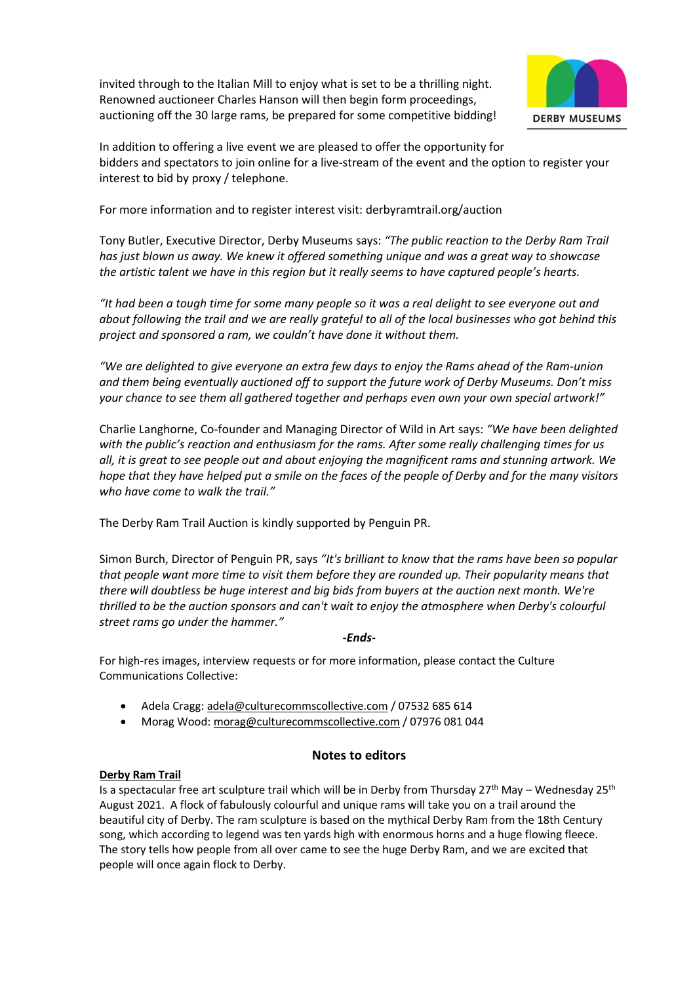invited through to the Italian Mill to enjoy what is set to be a thrilling night. Renowned auctioneer Charles Hanson will then begin form proceedings, auctioning off the 30 large rams, be prepared for some competitive bidding!



In addition to offering a live event we are pleased to offer the opportunity for bidders and spectators to join online for a live-stream of the event and the option to register your interest to bid by proxy / telephone.

For more information and to register interest visit: [derbyramtrail.org/auction](http://derbyramtrail.org/auction)

Tony Butler, Executive Director, Derby Museums says: *"The public reaction to the Derby Ram Trail has just blown us away. We knew it offered something unique and was a great way to showcase the artistic talent we have in this region but it really seems to have captured people's hearts.*

*"It had been a tough time for some many people so it was a real delight to see everyone out and about following the trail and we are really grateful to all of the local businesses who got behind this project and sponsored a ram, we couldn't have done it without them.* 

*"We are delighted to give everyone an extra few days to enjoy the Rams ahead of the Ram-union and them being eventually auctioned off to support the future work of Derby Museums. Don't miss your chance to see them all gathered together and perhaps even own your own special artwork!"*

Charlie Langhorne, Co-founder and Managing Director of Wild in Art says: *"We have been delighted with the public's reaction and enthusiasm for the rams. After some really challenging times for us all, it is great to see people out and about enjoying the magnificent rams and stunning artwork. We hope that they have helped put a smile on the faces of the people of Derby and for the many visitors who have come to walk the trail."*

The Derby Ram Trail Auction is kindly supported by Penguin PR.

Simon Burch, Director of Penguin PR, says *"It's brilliant to know that the rams have been so popular that people want more time to visit them before they are rounded up. Their popularity means that there will doubtless be huge interest and big bids from buyers at the auction next month. We're thrilled to be the auction sponsors and can't wait to enjoy the atmosphere when Derby's colourful street rams go under the hammer."*

### *-Ends-*

For high-res images, interview requests or for more information, please contact the Culture Communications Collective:

- Adela Cragg: [adela@culturecommscollective.com](mailto:adela@culturecommscollective.com) / 07532 685 614
- Morag Wood[: morag@culturecommscollective.com](mailto:morag@culturecommscollective.com) / 07976 081 044

# **Notes to editors**

## **[Derby Ram Trail](https://www.derbyramtrail.org/)**

Is a spectacular free art sculpture trail which will be in Derby from Thursday 27<sup>th</sup> May – Wednesday 25<sup>th</sup> August 2021. A flock of fabulously colourful and unique rams will take you on a trail around the beautiful city of Derby. The ram sculpture is based on the mythical Derby Ram from the 18th Century song, which according to legend was ten yards high with enormous horns and a huge flowing fleece. The story tells how people from all over came to see the huge Derby Ram, and we are excited that people will once again flock to Derby.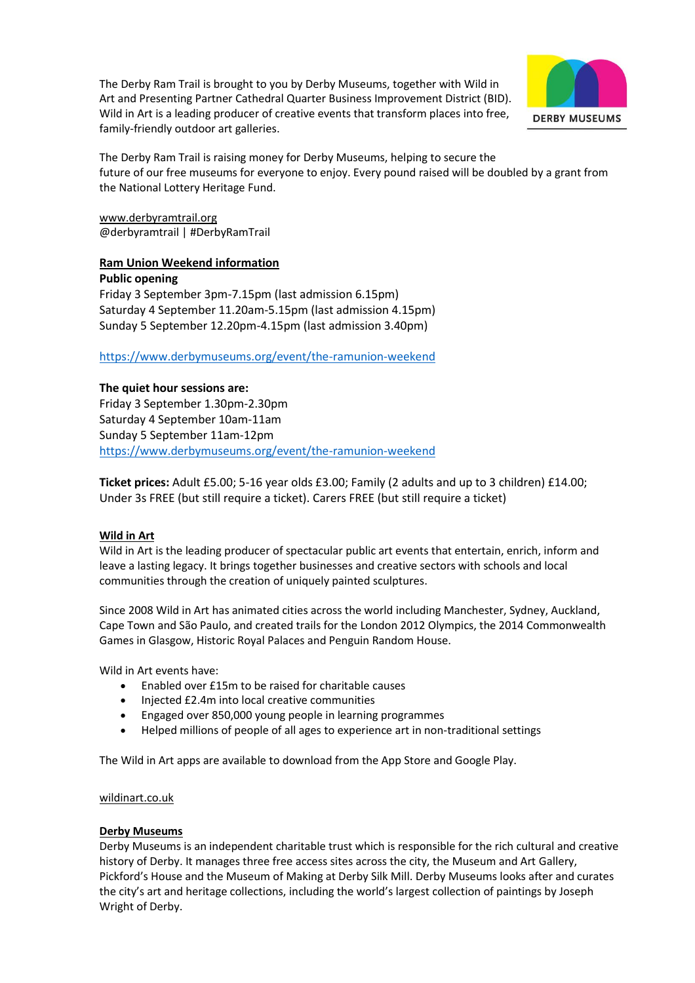The Derby Ram Trail is brought to you by Derby Museums, together with Wild in Art and Presenting Partner Cathedral Quarter Business Improvement District (BID). Wild in Art is a leading producer of creative events that transform places into free, family-friendly outdoor art galleries.



The Derby Ram Trail is raising money for Derby Museums, helping to secure the future of our free museums for everyone to enjoy. Every pound raised will be doubled by a grant from the National Lottery Heritage Fund.

[www.derbyramtrail.org](http://www.derbyramtrail.org/) @derbyramtrail | #DerbyRamTrail

# **Ram Union Weekend information**

**Public opening** Friday 3 September 3pm-7.15pm (last admission 6.15pm) Saturday 4 September 11.20am-5.15pm (last admission 4.15pm) Sunday 5 September 12.20pm-4.15pm (last admission 3.40pm)

## <https://www.derbymuseums.org/event/the-ramunion-weekend>

### **The quiet hour sessions are:**

Friday 3 September 1.30pm-2.30pm Saturday 4 September 10am-11am Sunday 5 September 11am-12pm <https://www.derbymuseums.org/event/the-ramunion-weekend>

**Ticket prices:** Adult £5.00; 5-16 year olds £3.00; Family (2 adults and up to 3 children) £14.00; Under 3s FREE (but still require a ticket). Carers FREE (but still require a ticket)

#### **Wild in Art**

Wild in Art is the leading producer of spectacular public art events that entertain, enrich, inform and leave a lasting legacy. It brings together businesses and creative sectors with schools and local communities through the creation of uniquely painted sculptures.

Since 2008 Wild in Art has animated cities across the world including Manchester, Sydney, Auckland, Cape Town and São Paulo, and created trails for the London 2012 Olympics, the 2014 Commonwealth Games in Glasgow, Historic Royal Palaces and Penguin Random House.

Wild in Art events have:

- Enabled over £15m to be raised for charitable causes
- Injected £2.4m into local creative communities
- Engaged over 850,000 young people in learning programmes
- Helped millions of people of all ages to experience art in non-traditional settings

The Wild in Art apps are available to download from the App Store and Google Play.

#### [wildinart.co.uk](https://www.wildinart.co.uk/)

### **[Derby Museums](https://www.derbymuseums.org/)**

Derby Museums is an independent charitable trust which is responsible for the rich cultural and creative history of Derby. It manages three free access sites across the city, the Museum and Art Gallery, Pickford's House and the Museum of Making at Derby Silk Mill. Derby Museums looks after and curates the city's art and heritage collections, including the world's largest collection of paintings by Joseph Wright of Derby.